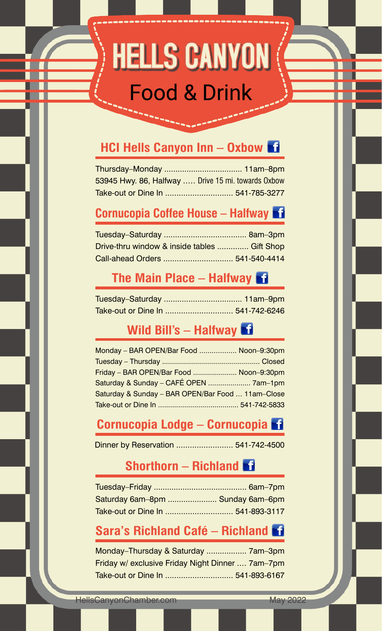# **HELLS CANYON Food & Drink**

## **HCI Hells Canyon Inn – Oxbow**

| 53945 Hwy. 86, Halfway  Drive 15 mi. towards 0xbow |  |
|----------------------------------------------------|--|
|                                                    |  |

## **Cornucopia Coffee House – Halfway**

| Drive-thru window & inside tables  Gift Shop |  |
|----------------------------------------------|--|
|                                              |  |

# **The Main Place – Halfway**

# **Wild Bill's – Halfway**

| Monday - BAR OPEN/Bar Food  Noon-9:30pm           |  |
|---------------------------------------------------|--|
|                                                   |  |
| Friday - BAR OPEN/Bar Food  Noon-9:30pm           |  |
| Saturday & Sunday - CAFÉ OPEN  7am-1pm            |  |
| Saturday & Sunday - BAR OPEN/Bar Food  11am-Close |  |
|                                                   |  |

## **Cornucopia Lodge – Cornucopia**

Dinner by Reservation ......................... 541-742-4500

#### **Shorthorn – Richland**

| Saturday 6am-8pm  Sunday 6am-6pm |  |
|----------------------------------|--|
|                                  |  |

#### **Sara's Richland Café – Richland**

Monday–Thursday & Saturday .................. 7am–3pm Friday w/ exclusive Friday Night Dinner .... 7am–7pm Take-out or Dine In .............................. 541-893-6167

HellsCanyonChamber.com May 2022